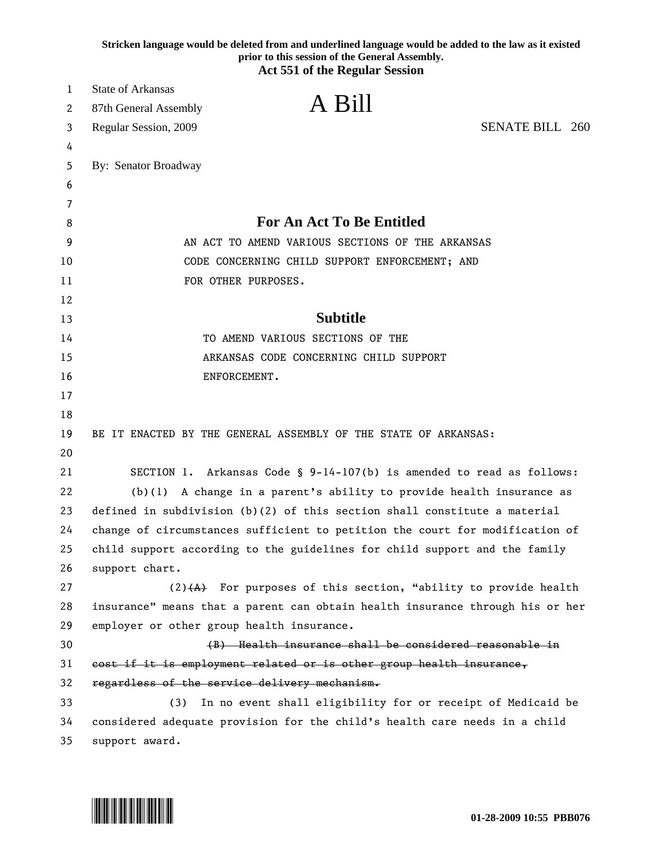|    | Stricken language would be deleted from and underlined language would be added to the law as it existed<br>prior to this session of the General Assembly. |
|----|-----------------------------------------------------------------------------------------------------------------------------------------------------------|
|    | <b>Act 551 of the Regular Session</b>                                                                                                                     |
| 1  | <b>State of Arkansas</b>                                                                                                                                  |
| 2  | A Bill<br>87th General Assembly                                                                                                                           |
| 3  | <b>SENATE BILL 260</b><br>Regular Session, 2009                                                                                                           |
| 4  |                                                                                                                                                           |
| 5  | By: Senator Broadway                                                                                                                                      |
| 6  |                                                                                                                                                           |
| 7  |                                                                                                                                                           |
| 8  | <b>For An Act To Be Entitled</b>                                                                                                                          |
| 9  | AN ACT TO AMEND VARIOUS SECTIONS OF THE ARKANSAS                                                                                                          |
| 10 | CODE CONCERNING CHILD SUPPORT ENFORCEMENT; AND                                                                                                            |
| 11 | FOR OTHER PURPOSES.                                                                                                                                       |
| 12 |                                                                                                                                                           |
| 13 | <b>Subtitle</b>                                                                                                                                           |
| 14 | TO AMEND VARIOUS SECTIONS OF THE                                                                                                                          |
| 15 | ARKANSAS CODE CONCERNING CHILD SUPPORT                                                                                                                    |
| 16 | ENFORCEMENT.                                                                                                                                              |
| 17 |                                                                                                                                                           |
| 18 |                                                                                                                                                           |
| 19 | BE IT ENACTED BY THE GENERAL ASSEMBLY OF THE STATE OF ARKANSAS:                                                                                           |
| 20 |                                                                                                                                                           |
| 21 | SECTION 1. Arkansas Code § 9-14-107(b) is amended to read as follows:                                                                                     |
| 22 | $(b)(1)$ A change in a parent's ability to provide health insurance as                                                                                    |
| 23 | defined in subdivision $(b)(2)$ of this section shall constitute a material                                                                               |
| 24 | change of circumstances sufficient to petition the court for modification of                                                                              |
| 25 | child support according to the guidelines for child support and the family                                                                                |
| 26 | support chart.                                                                                                                                            |
| 27 | $(2)$ $(4)$ For purposes of this section, "ability to provide health                                                                                      |
| 28 | insurance" means that a parent can obtain health insurance through his or her                                                                             |
| 29 | employer or other group health insurance.                                                                                                                 |
| 30 | (B) Health insurance shall be considered reasonable in                                                                                                    |
| 31 | cost if it is employment related or is other group health insurance,                                                                                      |
| 32 | regardless of the service delivery mechanism.                                                                                                             |
| 33 | In no event shall eligibility for or receipt of Medicaid be<br>(3)                                                                                        |
| 34 | considered adequate provision for the child's health care needs in a child                                                                                |
| 35 | support award.                                                                                                                                            |

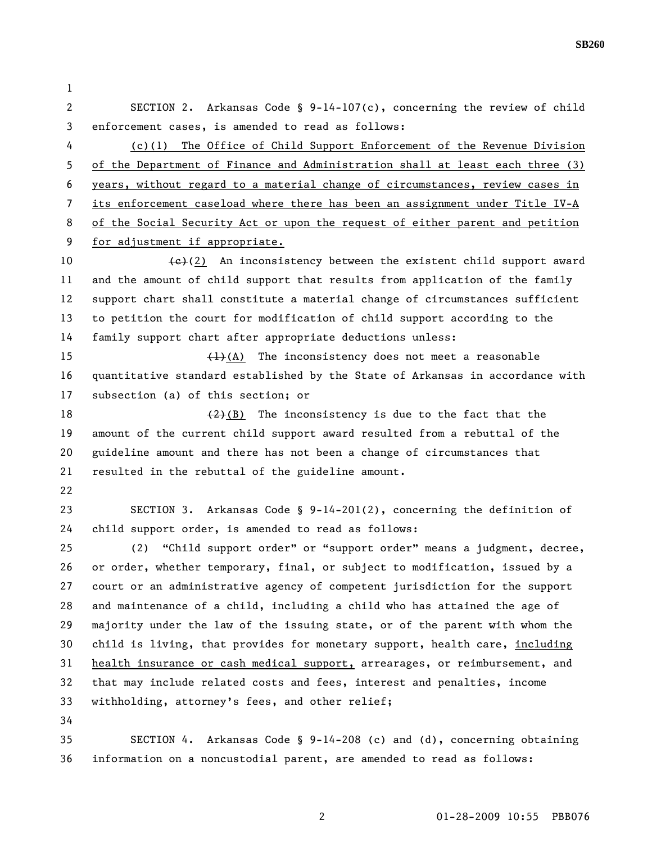**SB260** 

1 2 SECTION 2. Arkansas Code § 9-14-107(c), concerning the review of child 3 enforcement cases, is amended to read as follows: 4 (c)(1) The Office of Child Support Enforcement of the Revenue Division 5 of the Department of Finance and Administration shall at least each three (3) 6 years, without regard to a material change of circumstances, review cases in 7 its enforcement caseload where there has been an assignment under Title IV-A 8 of the Social Security Act or upon the request of either parent and petition 9 for adjustment if appropriate. 10  $\left\{\epsilon\right\}(2)$  An inconsistency between the existent child support award 11 and the amount of child support that results from application of the family 12 support chart shall constitute a material change of circumstances sufficient 13 to petition the court for modification of child support according to the 14 family support chart after appropriate deductions unless: 15  $\left(1\right)$  (A) The inconsistency does not meet a reasonable 16 quantitative standard established by the State of Arkansas in accordance with 17 subsection (a) of this section; or 18  $(2)(B)$  The inconsistency is due to the fact that the 19 amount of the current child support award resulted from a rebuttal of the 20 guideline amount and there has not been a change of circumstances that 21 resulted in the rebuttal of the guideline amount. 22 23 SECTION 3. Arkansas Code § 9-14-201(2), concerning the definition of 24 child support order, is amended to read as follows: 25 (2) "Child support order" or "support order" means a judgment, decree, 26 or order, whether temporary, final, or subject to modification, issued by a 27 court or an administrative agency of competent jurisdiction for the support 28 and maintenance of a child, including a child who has attained the age of 29 majority under the law of the issuing state, or of the parent with whom the 30 child is living, that provides for monetary support, health care, including 31 health insurance or cash medical support, arrearages, or reimbursement, and 32 that may include related costs and fees, interest and penalties, income 33 withholding, attorney's fees, and other relief; 34 35 SECTION 4. Arkansas Code § 9-14-208 (c) and (d), concerning obtaining 36 information on a noncustodial parent, are amended to read as follows: